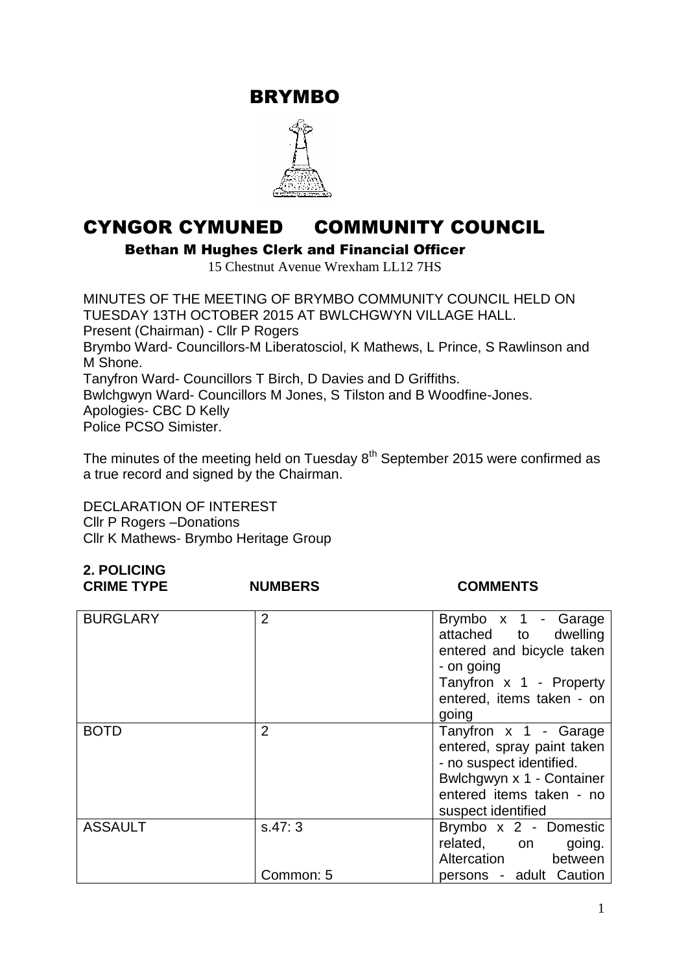BRYMBO



# CYNGOR CYMUNED COMMUNITY COUNCIL

Bethan M Hughes Clerk and Financial Officer

15 Chestnut Avenue Wrexham LL12 7HS

MINUTES OF THE MEETING OF BRYMBO COMMUNITY COUNCIL HELD ON TUESDAY 13TH OCTOBER 2015 AT BWLCHGWYN VILLAGE HALL. Present (Chairman) - Cllr P Rogers Brymbo Ward- Councillors-M Liberatosciol, K Mathews, L Prince, S Rawlinson and M Shone. Tanyfron Ward- Councillors T Birch, D Davies and D Griffiths. Bwlchgwyn Ward- Councillors M Jones, S Tilston and B Woodfine-Jones. Apologies- CBC D Kelly Police PCSO Simister.

The minutes of the meeting held on Tuesday  $8<sup>th</sup>$  September 2015 were confirmed as a true record and signed by the Chairman.

DECLARATION OF INTEREST Cllr P Rogers –Donations Cllr K Mathews- Brymbo Heritage Group

**2. POLICING**

| Z. FULIUINU<br><b>CRIME TYPE</b> | <b>NUMBERS</b> | <b>COMMENTS</b>                                                                                                                                                |
|----------------------------------|----------------|----------------------------------------------------------------------------------------------------------------------------------------------------------------|
| <b>BURGLARY</b>                  | $\overline{2}$ | Brymbo x 1 - Garage<br>attached to<br>dwelling<br>entered and bicycle taken<br>- on going<br>Tanyfron x 1 - Property<br>entered, items taken - on<br>going     |
| <b>BOTD</b>                      | $\overline{2}$ | Tanyfron x 1 - Garage<br>entered, spray paint taken<br>- no suspect identified.<br>Bwlchgwyn x 1 - Container<br>entered items taken - no<br>suspect identified |
| <b>ASSAULT</b>                   | S.47:3         | Brymbo x 2 - Domestic<br>related, on going.<br>Altercation between                                                                                             |
|                                  | Common: 5      | persons - adult Caution                                                                                                                                        |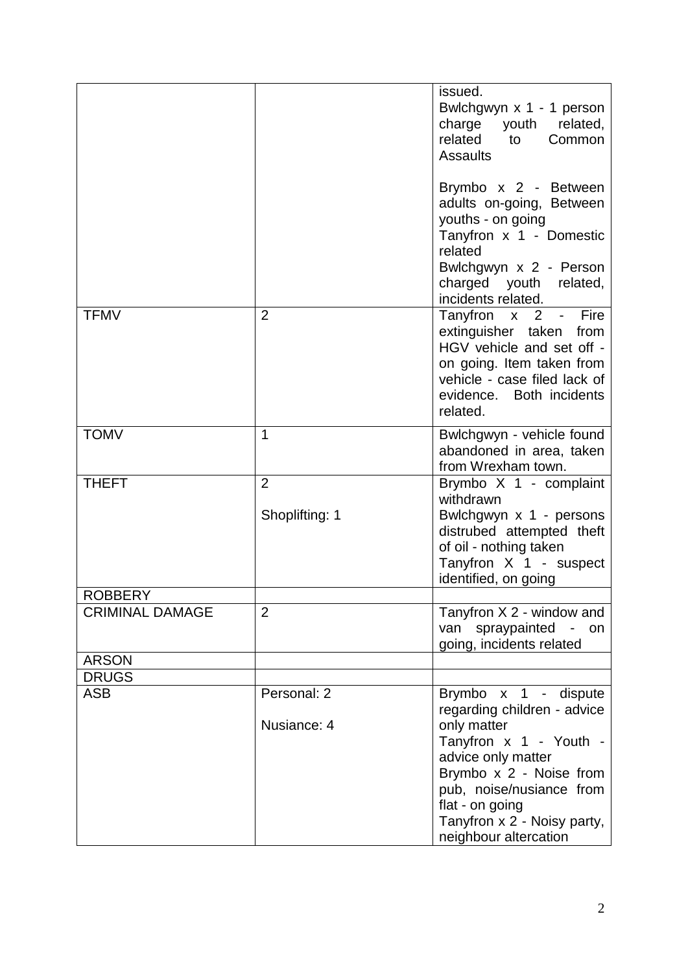|                                                          |                                  | issued.<br>Bwlchgwyn x 1 - 1 person<br>charge youth<br>related,<br>related<br>Common<br>to<br><b>Assaults</b><br>Brymbo x 2 - Between                                                                                                                |
|----------------------------------------------------------|----------------------------------|------------------------------------------------------------------------------------------------------------------------------------------------------------------------------------------------------------------------------------------------------|
|                                                          |                                  | adults on-going, Between<br>youths - on going<br>Tanyfron x 1 - Domestic<br>related<br>Bwlchgwyn x 2 - Person<br>charged youth related,<br>incidents related.                                                                                        |
| <b>TFMV</b>                                              | $\overline{2}$                   | Fire<br>Tanyfron x 2 -<br>extinguisher taken<br>from<br>HGV vehicle and set off -<br>on going. Item taken from<br>vehicle - case filed lack of<br>evidence. Both incidents<br>related.                                                               |
| <b>TOMV</b>                                              | $\mathbf{1}$                     | Bwlchgwyn - vehicle found<br>abandoned in area, taken<br>from Wrexham town.                                                                                                                                                                          |
| <b>THEFT</b>                                             | $\overline{2}$<br>Shoplifting: 1 | Brymbo X 1 - complaint<br>withdrawn<br>Bwlchgwyn x 1 - persons<br>distrubed attempted theft<br>of oil - nothing taken<br>Tanyfron X 1 - suspect<br>identified, on going                                                                              |
| <b>ROBBERY</b><br><b>CRIMINAL DAMAGE</b><br><b>ARSON</b> | $\overline{2}$                   | Tanyfron X 2 - window and<br>van spraypainted<br>$\sim$ $-$<br>on<br>going, incidents related                                                                                                                                                        |
| <b>DRUGS</b>                                             |                                  |                                                                                                                                                                                                                                                      |
| <b>ASB</b>                                               | Personal: 2<br>Nusiance: 4       | Brymbo x 1 - dispute<br>regarding children - advice<br>only matter<br>Tanyfron x 1 - Youth -<br>advice only matter<br>Brymbo x 2 - Noise from<br>pub, noise/nusiance from<br>flat - on going<br>Tanyfron x 2 - Noisy party,<br>neighbour altercation |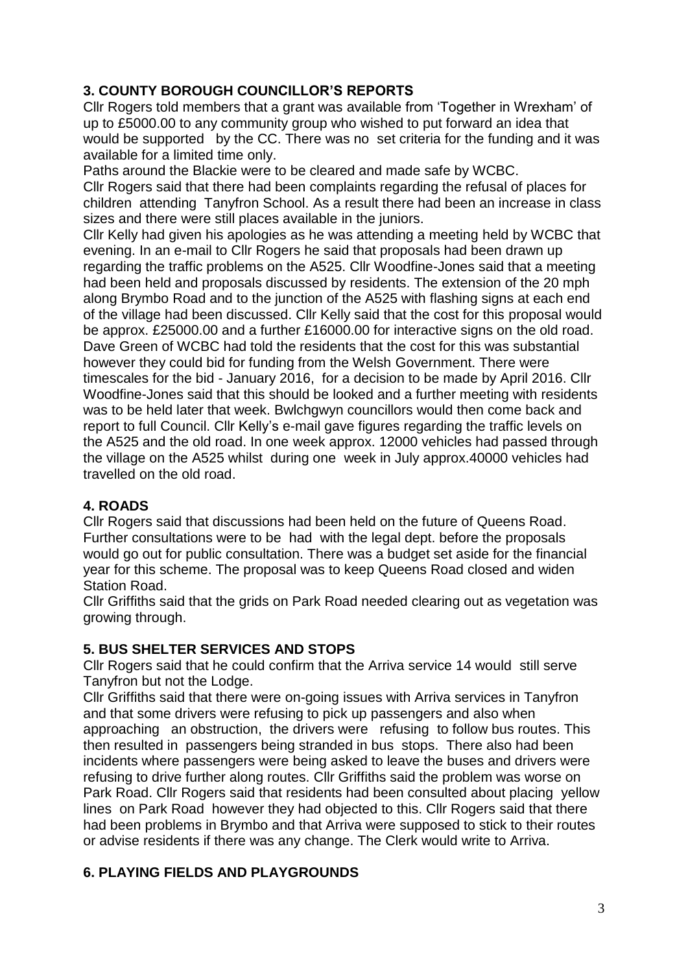# **3. COUNTY BOROUGH COUNCILLOR'S REPORTS**

Cllr Rogers told members that a grant was available from 'Together in Wrexham' of up to £5000.00 to any community group who wished to put forward an idea that would be supported by the CC. There was no set criteria for the funding and it was available for a limited time only.

Paths around the Blackie were to be cleared and made safe by WCBC. Cllr Rogers said that there had been complaints regarding the refusal of places for children attending Tanyfron School. As a result there had been an increase in class sizes and there were still places available in the juniors.

Cllr Kelly had given his apologies as he was attending a meeting held by WCBC that evening. In an e-mail to Cllr Rogers he said that proposals had been drawn up regarding the traffic problems on the A525. Cllr Woodfine-Jones said that a meeting had been held and proposals discussed by residents. The extension of the 20 mph along Brymbo Road and to the junction of the A525 with flashing signs at each end of the village had been discussed. Cllr Kelly said that the cost for this proposal would be approx. £25000.00 and a further £16000.00 for interactive signs on the old road. Dave Green of WCBC had told the residents that the cost for this was substantial however they could bid for funding from the Welsh Government. There were timescales for the bid - January 2016, for a decision to be made by April 2016. Cllr Woodfine-Jones said that this should be looked and a further meeting with residents was to be held later that week. Bwlchgwyn councillors would then come back and report to full Council. Cllr Kelly's e-mail gave figures regarding the traffic levels on the A525 and the old road. In one week approx. 12000 vehicles had passed through the village on the A525 whilst during one week in July approx.40000 vehicles had travelled on the old road.

# **4. ROADS**

Cllr Rogers said that discussions had been held on the future of Queens Road. Further consultations were to be had with the legal dept. before the proposals would go out for public consultation. There was a budget set aside for the financial year for this scheme. The proposal was to keep Queens Road closed and widen Station Road.

Cllr Griffiths said that the grids on Park Road needed clearing out as vegetation was growing through.

# **5. BUS SHELTER SERVICES AND STOPS**

Cllr Rogers said that he could confirm that the Arriva service 14 would still serve Tanyfron but not the Lodge.

Cllr Griffiths said that there were on-going issues with Arriva services in Tanyfron and that some drivers were refusing to pick up passengers and also when approaching an obstruction, the drivers were refusing to follow bus routes. This then resulted in passengers being stranded in bus stops. There also had been incidents where passengers were being asked to leave the buses and drivers were refusing to drive further along routes. Cllr Griffiths said the problem was worse on Park Road. Cllr Rogers said that residents had been consulted about placing yellow lines on Park Road however they had objected to this. Cllr Rogers said that there had been problems in Brymbo and that Arriva were supposed to stick to their routes or advise residents if there was any change. The Clerk would write to Arriva.

# **6. PLAYING FIELDS AND PLAYGROUNDS**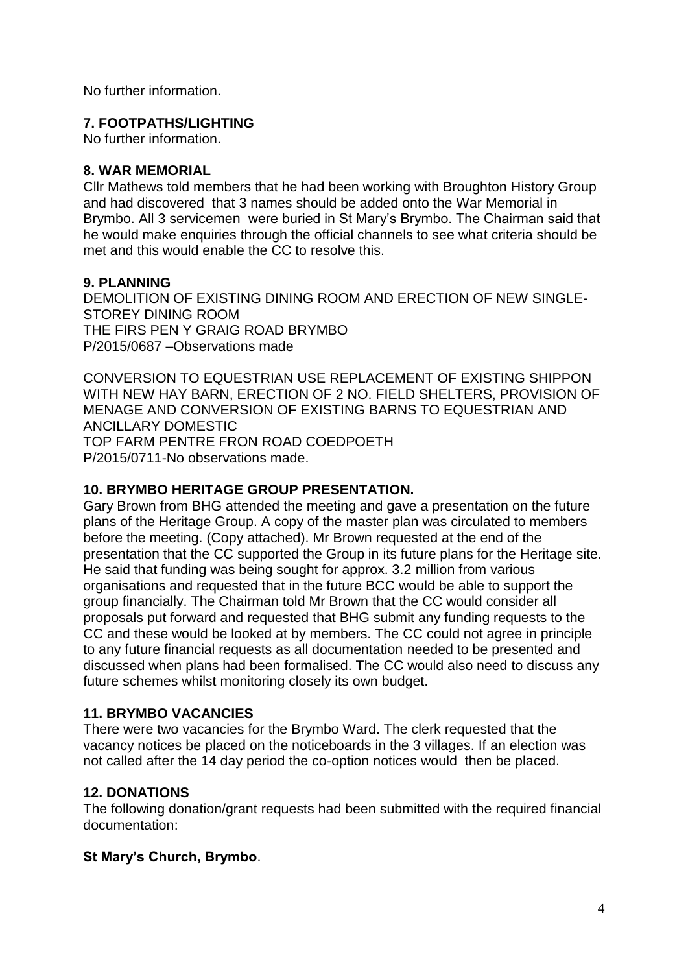No further information.

#### **7. FOOTPATHS/LIGHTING**

No further information.

#### **8. WAR MEMORIAL**

Cllr Mathews told members that he had been working with Broughton History Group and had discovered that 3 names should be added onto the War Memorial in Brymbo. All 3 servicemen were buried in St Mary's Brymbo. The Chairman said that he would make enquiries through the official channels to see what criteria should be met and this would enable the CC to resolve this.

### **9. PLANNING**

DEMOLITION OF EXISTING DINING ROOM AND ERECTION OF NEW SINGLE-STOREY DINING ROOM THE FIRS PEN Y GRAIG ROAD BRYMBO P/2015/0687 –Observations made

CONVERSION TO EQUESTRIAN USE REPLACEMENT OF EXISTING SHIPPON WITH NEW HAY BARN, ERECTION OF 2 NO. FIELD SHELTERS, PROVISION OF MENAGE AND CONVERSION OF EXISTING BARNS TO EQUESTRIAN AND ANCILLARY DOMESTIC TOP FARM PENTRE FRON ROAD COEDPOETH P/2015/0711-No observations made.

# **10. BRYMBO HERITAGE GROUP PRESENTATION.**

Gary Brown from BHG attended the meeting and gave a presentation on the future plans of the Heritage Group. A copy of the master plan was circulated to members before the meeting. (Copy attached). Mr Brown requested at the end of the presentation that the CC supported the Group in its future plans for the Heritage site. He said that funding was being sought for approx. 3.2 million from various organisations and requested that in the future BCC would be able to support the group financially. The Chairman told Mr Brown that the CC would consider all proposals put forward and requested that BHG submit any funding requests to the CC and these would be looked at by members. The CC could not agree in principle to any future financial requests as all documentation needed to be presented and discussed when plans had been formalised. The CC would also need to discuss any future schemes whilst monitoring closely its own budget.

# **11. BRYMBO VACANCIES**

There were two vacancies for the Brymbo Ward. The clerk requested that the vacancy notices be placed on the noticeboards in the 3 villages. If an election was not called after the 14 day period the co-option notices would then be placed.

# **12. DONATIONS**

The following donation/grant requests had been submitted with the required financial documentation:

# **St Mary's Church, Brymbo**.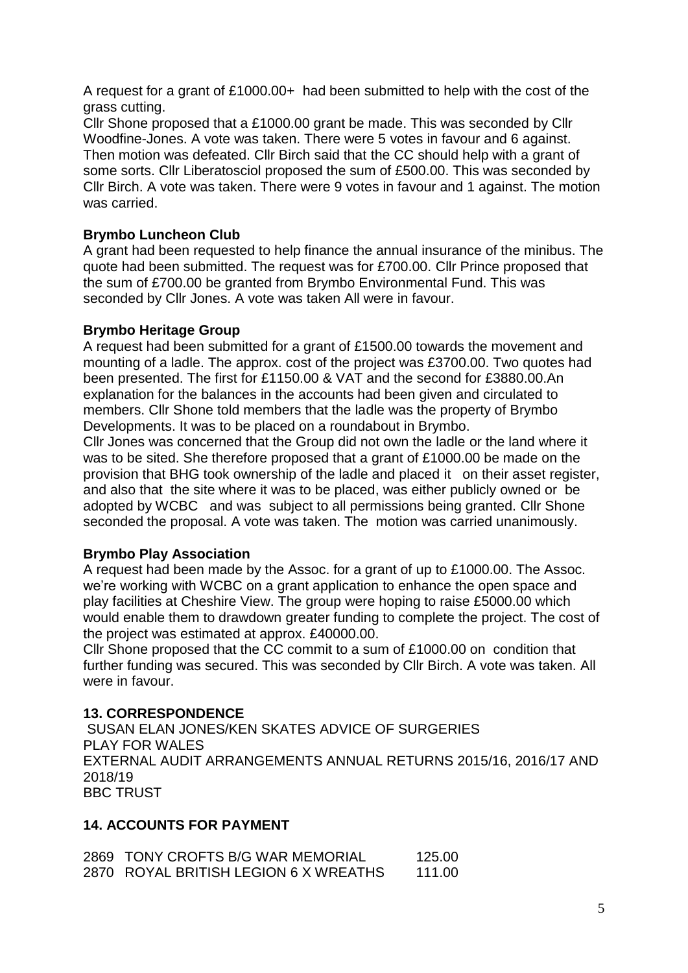A request for a grant of £1000.00+ had been submitted to help with the cost of the grass cutting.

Cllr Shone proposed that a £1000.00 grant be made. This was seconded by Cllr Woodfine-Jones. A vote was taken. There were 5 votes in favour and 6 against. Then motion was defeated. Cllr Birch said that the CC should help with a grant of some sorts. Cllr Liberatosciol proposed the sum of £500.00. This was seconded by Cllr Birch. A vote was taken. There were 9 votes in favour and 1 against. The motion was carried.

## **Brymbo Luncheon Club**

A grant had been requested to help finance the annual insurance of the minibus. The quote had been submitted. The request was for £700.00. Cllr Prince proposed that the sum of £700.00 be granted from Brymbo Environmental Fund. This was seconded by Cllr Jones. A vote was taken All were in favour.

#### **Brymbo Heritage Group**

A request had been submitted for a grant of £1500.00 towards the movement and mounting of a ladle. The approx. cost of the project was £3700.00. Two quotes had been presented. The first for £1150.00 & VAT and the second for £3880.00.An explanation for the balances in the accounts had been given and circulated to members. Cllr Shone told members that the ladle was the property of Brymbo Developments. It was to be placed on a roundabout in Brymbo.

Cllr Jones was concerned that the Group did not own the ladle or the land where it was to be sited. She therefore proposed that a grant of £1000.00 be made on the provision that BHG took ownership of the ladle and placed it on their asset register, and also that the site where it was to be placed, was either publicly owned or be adopted by WCBC and was subject to all permissions being granted. Cllr Shone seconded the proposal. A vote was taken. The motion was carried unanimously.

#### **Brymbo Play Association**

A request had been made by the Assoc. for a grant of up to £1000.00. The Assoc. we're working with WCBC on a grant application to enhance the open space and play facilities at Cheshire View. The group were hoping to raise £5000.00 which would enable them to drawdown greater funding to complete the project. The cost of the project was estimated at approx. £40000.00.

Cllr Shone proposed that the CC commit to a sum of £1000.00 on condition that further funding was secured. This was seconded by Cllr Birch. A vote was taken. All were in favour.

#### **13. CORRESPONDENCE**

SUSAN ELAN JONES/KEN SKATES ADVICE OF SURGERIES PLAY FOR WALES EXTERNAL AUDIT ARRANGEMENTS ANNUAL RETURNS 2015/16, 2016/17 AND 2018/19 BBC TRUST

#### **14. ACCOUNTS FOR PAYMENT**

2869 TONY CROFTS B/G WAR MEMORIAL 125.00 2870 ROYAL BRITISH LEGION 6 X WREATHS 111.00